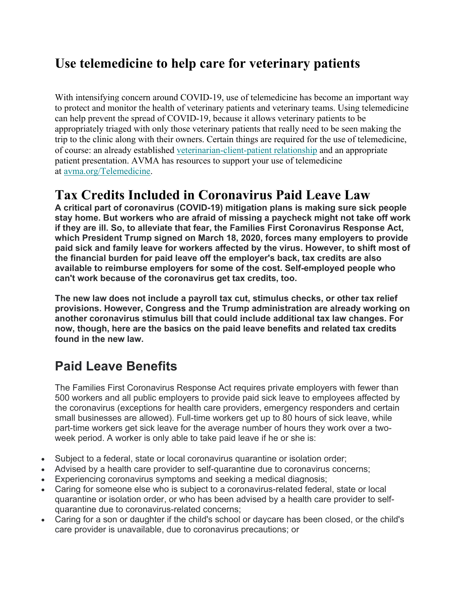## **Use telemedicine to help care for veterinary patients**

With intensifying concern around COVID-19, use of telemedicine has become an important way to protect and monitor the health of veterinary patients and veterinary teams. Using telemedicine can help prevent the spread of COVID-19, because it allows veterinary patients to be appropriately triaged with only those veterinary patients that really need to be seen making the trip to the clinic along with their owners. Certain things are required for the use of telemedicine, of course: an already established veterinarian-client-patient relationship and an appropriate patient presentation. AVMA has resources to support your use of telemedicine at avma.org/Telemedicine.

### **Tax Credits Included in Coronavirus Paid Leave Law**

**A critical part of coronavirus (COVID-19) mitigation plans is making sure sick people stay home. But workers who are afraid of missing a paycheck might not take off work if they are ill. So, to alleviate that fear, the Families First Coronavirus Response Act, which President Trump signed on March 18, 2020, forces many employers to provide paid sick and family leave for workers affected by the virus. However, to shift most of the financial burden for paid leave off the employer's back, tax credits are also available to reimburse employers for some of the cost. Self-employed people who can't work because of the coronavirus get tax credits, too.** 

**The new law does not include a payroll tax cut, stimulus checks, or other tax relief provisions. However, Congress and the Trump administration are already working on another coronavirus stimulus bill that could include additional tax law changes. For now, though, here are the basics on the paid leave benefits and related tax credits found in the new law.** 

### **Paid Leave Benefits**

The Families First Coronavirus Response Act requires private employers with fewer than 500 workers and all public employers to provide paid sick leave to employees affected by the coronavirus (exceptions for health care providers, emergency responders and certain small businesses are allowed). Full-time workers get up to 80 hours of sick leave, while part-time workers get sick leave for the average number of hours they work over a twoweek period. A worker is only able to take paid leave if he or she is:

- Subject to a federal, state or local coronavirus quarantine or isolation order;
- Advised by a health care provider to self-quarantine due to coronavirus concerns;
- Experiencing coronavirus symptoms and seeking a medical diagnosis;
- Caring for someone else who is subject to a coronavirus-related federal, state or local quarantine or isolation order, or who has been advised by a health care provider to selfquarantine due to coronavirus-related concerns;
- Caring for a son or daughter if the child's school or daycare has been closed, or the child's care provider is unavailable, due to coronavirus precautions; or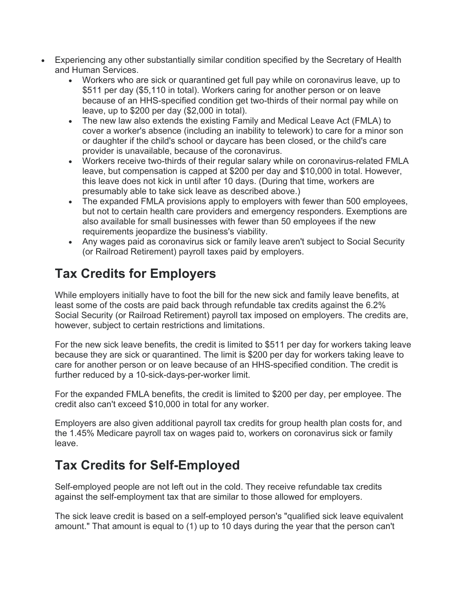- Experiencing any other substantially similar condition specified by the Secretary of Health and Human Services.
	- Workers who are sick or quarantined get full pay while on coronavirus leave, up to \$511 per day (\$5,110 in total). Workers caring for another person or on leave because of an HHS-specified condition get two-thirds of their normal pay while on leave, up to \$200 per day (\$2,000 in total).
	- The new law also extends the existing Family and Medical Leave Act (FMLA) to cover a worker's absence (including an inability to telework) to care for a minor son or daughter if the child's school or daycare has been closed, or the child's care provider is unavailable, because of the coronavirus.
	- Workers receive two-thirds of their regular salary while on coronavirus-related FMLA leave, but compensation is capped at \$200 per day and \$10,000 in total. However, this leave does not kick in until after 10 days. (During that time, workers are presumably able to take sick leave as described above.)
	- The expanded FMLA provisions apply to employers with fewer than 500 employees, but not to certain health care providers and emergency responders. Exemptions are also available for small businesses with fewer than 50 employees if the new requirements jeopardize the business's viability.
	- Any wages paid as coronavirus sick or family leave aren't subject to Social Security (or Railroad Retirement) payroll taxes paid by employers.

# **Tax Credits for Employers**

While employers initially have to foot the bill for the new sick and family leave benefits, at least some of the costs are paid back through refundable tax credits against the 6.2% Social Security (or Railroad Retirement) payroll tax imposed on employers. The credits are, however, subject to certain restrictions and limitations.

For the new sick leave benefits, the credit is limited to \$511 per day for workers taking leave because they are sick or quarantined. The limit is \$200 per day for workers taking leave to care for another person or on leave because of an HHS-specified condition. The credit is further reduced by a 10-sick-days-per-worker limit.

For the expanded FMLA benefits, the credit is limited to \$200 per day, per employee. The credit also can't exceed \$10,000 in total for any worker.

Employers are also given additional payroll tax credits for group health plan costs for, and the 1.45% Medicare payroll tax on wages paid to, workers on coronavirus sick or family leave.

# **Tax Credits for Self-Employed**

Self-employed people are not left out in the cold. They receive refundable tax credits against the self-employment tax that are similar to those allowed for employers.

The sick leave credit is based on a self-employed person's "qualified sick leave equivalent amount." That amount is equal to (1) up to 10 days during the year that the person can't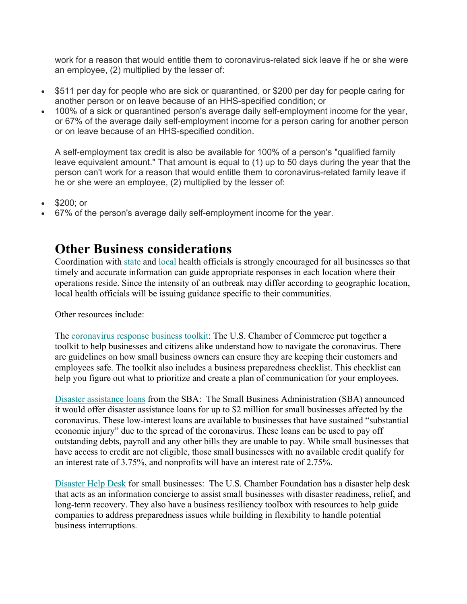work for a reason that would entitle them to coronavirus-related sick leave if he or she were an employee, (2) multiplied by the lesser of:

- \$511 per day for people who are sick or quarantined, or \$200 per day for people caring for another person or on leave because of an HHS-specified condition; or
- 100% of a sick or quarantined person's average daily self-employment income for the year, or 67% of the average daily self-employment income for a person caring for another person or on leave because of an HHS-specified condition.

A self-employment tax credit is also be available for 100% of a person's "qualified family leave equivalent amount." That amount is equal to (1) up to 50 days during the year that the person can't work for a reason that would entitle them to coronavirus-related family leave if he or she were an employee, (2) multiplied by the lesser of:

\$200; or

67% of the person's average daily self-employment income for the year.

#### **Other Business considerations**

Coordination with state and local health officials is strongly encouraged for all businesses so that timely and accurate information can guide appropriate responses in each location where their operations reside. Since the intensity of an outbreak may differ according to geographic location, local health officials will be issuing guidance specific to their communities.

Other resources include:

The coronavirus response business toolkit: The U.S. Chamber of Commerce put together a toolkit to help businesses and citizens alike understand how to navigate the coronavirus. There are guidelines on how small business owners can ensure they are keeping their customers and employees safe. The toolkit also includes a business preparedness checklist. This checklist can help you figure out what to prioritize and create a plan of communication for your employees.

Disaster assistance loans from the SBA: The Small Business Administration (SBA) announced it would offer disaster assistance loans for up to \$2 million for small businesses affected by the coronavirus. These low-interest loans are available to businesses that have sustained "substantial economic injury" due to the spread of the coronavirus. These loans can be used to pay off outstanding debts, payroll and any other bills they are unable to pay. While small businesses that have access to credit are not eligible, those small businesses with no available credit qualify for an interest rate of 3.75%, and nonprofits will have an interest rate of 2.75%.

Disaster Help Desk for small businesses: The U.S. Chamber Foundation has a disaster help desk that acts as an information concierge to assist small businesses with disaster readiness, relief, and long-term recovery. They also have a business resiliency toolbox with resources to help guide companies to address preparedness issues while building in flexibility to handle potential business interruptions.